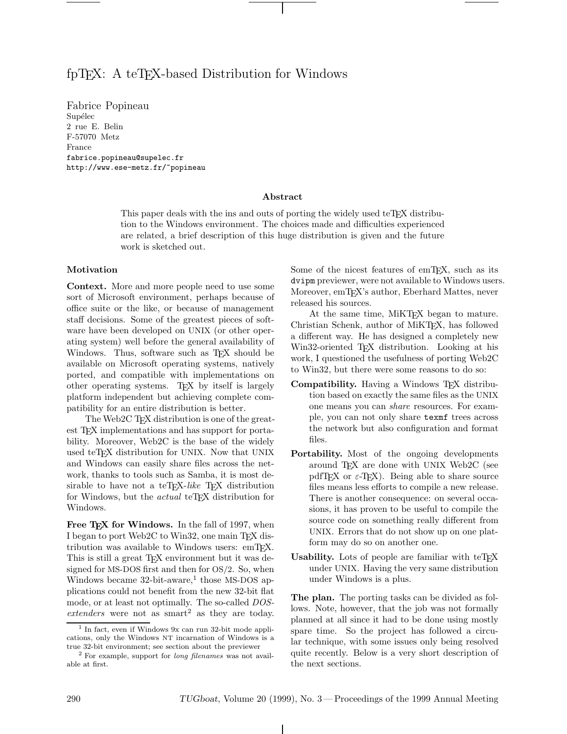# fpT<sub>EX</sub>: A teT<sub>EX</sub>-based Distribution for Windows

Fabrice Popineau Supélec 2 rue E. Belin F-57070 Metz France fabrice.popineau@supelec.fr http://www.ese-metz.fr/~popineau

## **Abstract**

This paper deals with the ins and outs of porting the widely used teTEX distribution to the Windows environment. The choices made and difficulties experienced are related, a brief description of this huge distribution is given and the future work is sketched out.

## **Motivation**

**Context.** More and more people need to use some sort of Microsoft environment, perhaps because of office suite or the like, or because of management staff decisions. Some of the greatest pieces of software have been developed on UNIX (or other operating system) well before the general availability of Windows. Thus, software such as T<sub>EX</sub> should be available on Microsoft operating systems, natively ported, and compatible with implementations on other operating systems. TEX by itself is largely platform independent but achieving complete compatibility for an entire distribution is better.

The Web2C T<sub>F</sub>X distribution is one of the greatest T<sub>F</sub>X implementations and has support for portability. Moreover, Web2C is the base of the widely used teTFX distribution for UNIX. Now that UNIX and Windows can easily share files across the network, thanks to tools such as Samba, it is most desirable to have not a teT<sub>E</sub>X-like T<sub>E</sub>X distribution for Windows, but the *actual* teT<sub>E</sub>X distribution for Windows.

Free T<sub>E</sub>X for Windows. In the fall of 1997, when I began to port Web2C to Win32, one main TFX distribution was available to Windows users: emTFX. This is still a great TEX environment but it was designed for MS-DOS first and then for OS/2. So, when Windows became  $32$ -bit-aware,<sup>1</sup> those MS-DOS applications could not benefit from the new 32-bit flat mode, or at least not optimally. The so-called *DOS* $ext{ {e} } x$  extenders were not as smart<sup>2</sup> as they are today.

Some of the nicest features of emT<sub>E</sub>X, such as its dvipm previewer, were not available to Windows users. Moreover, emTEX's author, Eberhard Mattes, never released his sources.

At the same time, MiKT<sub>EX</sub> began to mature. Christian Schenk, author of MiKTEX, has followed a different way. He has designed a completely new Win32-oriented T<sub>EX</sub> distribution. Looking at his work, I questioned the usefulness of porting Web2C to Win32, but there were some reasons to do so:

- **Compatibility.** Having a Windows T<sub>F</sub>X distribution based on exactly the same files as the UNIX one means you can *share* resources. For example, you can not only share texmf trees across the network but also configuration and format files.
- **Portability.** Most of the ongoing developments around TFX are done with UNIX Web2C (see pdfT<sub>F</sub>X or  $\varepsilon$ -T<sub>F</sub>X). Being able to share source files means less efforts to compile a new release. There is another consequence: on several occasions, it has proven to be useful to compile the source code on something really different from UNIX. Errors that do not show up on one platform may do so on another one.
- Usability. Lots of people are familiar with teT<sub>EX</sub> under UNIX. Having the very same distribution under Windows is a plus.

**The plan.** The porting tasks can be divided as follows. Note, however, that the job was not formally planned at all since it had to be done using mostly spare time. So the project has followed a circular technique, with some issues only being resolved quite recently. Below is a very short description of the next sections.

 $1$  In fact, even if Windows 9x can run 32-bit mode applications, only the Windows NT incarnation of Windows is a true 32-bit environment; see section about the previewer

<sup>2</sup> For example, support for long filenames was not available at first.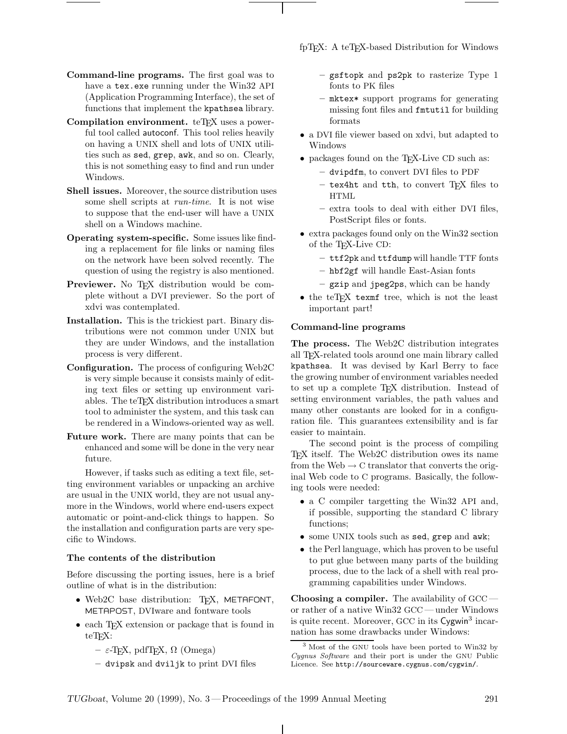- **Command-line programs.** The first goal was to have a tex.exe running under the Win32 API (Application Programming Interface), the set of functions that implement the kpathsea library.
- **Compilation environment.** teT<sub>F</sub>X uses a powerful tool called autoconf. This tool relies heavily on having a UNIX shell and lots of UNIX utilities such as sed, grep, awk, and so on. Clearly, this is not something easy to find and run under Windows.
- **Shell issues.** Moreover, the source distribution uses some shell scripts at *run-time*. It is not wise to suppose that the end-user will have a UNIX shell on a Windows machine.
- **Operating system-specific.** Some issues like finding a replacement for file links or naming files on the network have been solved recently. The question of using the registry is also mentioned.
- **Previewer.** No T<sub>E</sub>X distribution would be complete without a DVI previewer. So the port of xdvi was contemplated.
- **Installation.** This is the trickiest part. Binary distributions were not common under UNIX but they are under Windows, and the installation process is very different.
- **Configuration.** The process of configuring Web2C is very simple because it consists mainly of editing text files or setting up environment variables. The teTFX distribution introduces a smart tool to administer the system, and this task can be rendered in a Windows-oriented way as well.
- **Future work.** There are many points that can be enhanced and some will be done in the very near future.

However, if tasks such as editing a text file, setting environment variables or unpacking an archive are usual in the UNIX world, they are not usual anymore in the Windows, world where end-users expect automatic or point-and-click things to happen. So the installation and configuration parts are very specific to Windows.

# **The contents of the distribution**

Before discussing the porting issues, here is a brief outline of what is in the distribution:

- Web2C base distribution: TFX, METAFONT, METAPOST, DVIware and fontware tools
- each T<sub>E</sub>X extension or package that is found in teT<sub>F</sub>X:
	- **–** ε-TEX, pdfTEX, Ω (Omega)
	- **–** dvipsk and dviljk to print DVI files

fpT<sub>E</sub>X: A teT<sub>E</sub>X-based Distribution for Windows

- **–** gsftopk and ps2pk to rasterize Type 1 fonts to PK files
- **–** mktex\* support programs for generating missing font files and fmtutil for building formats
- a DVI file viewer based on xdvi, but adapted to Windows
- packages found on the T<sub>E</sub>X-Live CD such as:
	- **–** dvipdfm, to convert DVI files to PDF
	- **–** tex4ht and tth, to convert TEX files to HTML
	- **–** extra tools to deal with either DVI files, PostScript files or fonts.
- extra packages found only on the Win32 section of the TEX-Live CD:
	- **–** ttf2pk and ttfdump will handle TTF fonts
	- **–** hbf2gf will handle East-Asian fonts
	- **–** gzip and jpeg2ps, which can be handy
- the teTEX texmf tree, which is not the least important part!

#### **Command-line programs**

**The process.** The Web2C distribution integrates all TEX-related tools around one main library called kpathsea. It was devised by Karl Berry to face the growing number of environment variables needed to set up a complete TEX distribution. Instead of setting environment variables, the path values and many other constants are looked for in a configuration file. This guarantees extensibility and is far easier to maintain.

The second point is the process of compiling TEX itself. The Web2C distribution owes its name from the Web  $\rightarrow$  C translator that converts the original Web code to C programs. Basically, the following tools were needed:

- a C compiler targetting the Win32 API and, if possible, supporting the standard C library functions;
- some UNIX tools such as sed, grep and awk;
- the Perl language, which has proven to be useful to put glue between many parts of the building process, due to the lack of a shell with real programming capabilities under Windows.

**Choosing a compiler.** The availability of GCC or rather of a native Win32 GCC — under Windows is quite recent. Moreover, GCC in its Cygwin<sup>3</sup> incarnation has some drawbacks under Windows:

<sup>3</sup> Most of the GNU tools have been ported to Win32 by Cygnus Software and their port is under the GNU Public Licence. See http://sourceware.cygnus.com/cygwin/.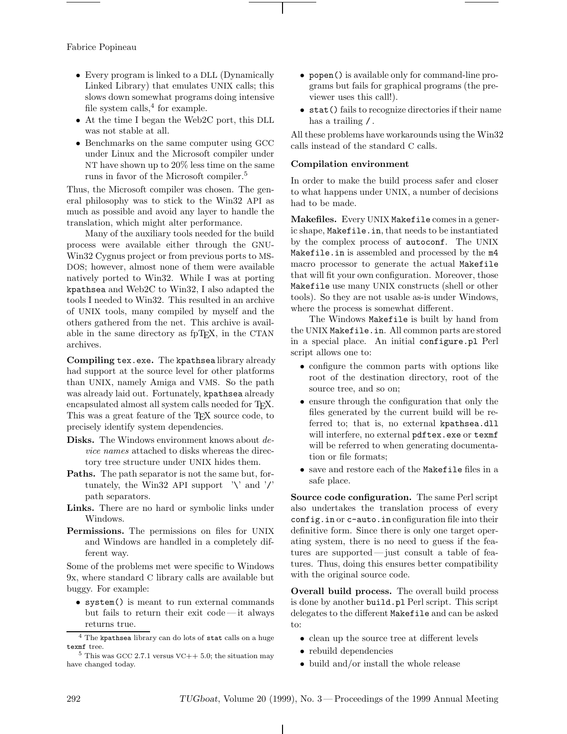Fabrice Popineau

- Every program is linked to a DLL (Dynamically Linked Library) that emulates UNIX calls; this slows down somewhat programs doing intensive file system calls, $4$  for example.
- At the time I began the Web2C port, this DLL was not stable at all.
- Benchmarks on the same computer using GCC under Linux and the Microsoft compiler under NT have shown up to 20% less time on the same runs in favor of the Microsoft compiler.<sup>5</sup>

Thus, the Microsoft compiler was chosen. The general philosophy was to stick to the Win32 API as much as possible and avoid any layer to handle the translation, which might alter performance.

Many of the auxiliary tools needed for the build process were available either through the GNU-Win32 Cygnus project or from previous ports to MS-DOS; however, almost none of them were available natively ported to Win32. While I was at porting kpathsea and Web2C to Win32, I also adapted the tools I needed to Win32. This resulted in an archive of UNIX tools, many compiled by myself and the others gathered from the net. This archive is available in the same directory as fpT<sub>E</sub>X, in the CTAN archives.

**Compiling** tex.exe**.** The kpathsea library already had support at the source level for other platforms than UNIX, namely Amiga and VMS. So the path was already laid out. Fortunately, kpathsea already encapsulated almost all system calls needed for TFX. This was a great feature of the T<sub>E</sub>X source code, to precisely identify system dependencies.

- **Disks.** The Windows environment knows about *device names* attached to disks whereas the directory tree structure under UNIX hides them.
- **Paths.** The path separator is not the same but, fortunately, the Win32 API support  $\forall$  and  $\forall$ path separators.
- **Links.** There are no hard or symbolic links under Windows.
- **Permissions.** The permissions on files for UNIX and Windows are handled in a completely different way.

Some of the problems met were specific to Windows 9x, where standard C library calls are available but buggy. For example:

• system() is meant to run external commands but fails to return their exit code— it always returns true.

- popen() is available only for command-line programs but fails for graphical programs (the previewer uses this call!).
- stat() fails to recognize directories if their name has a trailing  $\prime$ .

All these problems have workarounds using the Win32 calls instead of the standard C calls.

## **Compilation environment**

In order to make the build process safer and closer to what happens under UNIX, a number of decisions had to be made.

**Makefiles.** Every UNIX Makefile comes in a generic shape, Makefile.in, that needs to be instantiated by the complex process of autoconf. The UNIX Makefile.in is assembled and processed by the m4 macro processor to generate the actual Makefile that will fit your own configuration. Moreover, those Makefile use many UNIX constructs (shell or other tools). So they are not usable as-is under Windows, where the process is somewhat different.

The Windows Makefile is built by hand from the UNIX Makefile.in. All common parts are stored in a special place. An initial configure.pl Perl script allows one to:

- configure the common parts with options like root of the destination directory, root of the source tree, and so on;
- ensure through the configuration that only the files generated by the current build will be referred to; that is, no external kpathsea.dll will interfere, no external pdftex.exe or texmf will be referred to when generating documentation or file formats;
- save and restore each of the Makefile files in a safe place.

**Source code configuration.** The same Perl script also undertakes the translation process of every config.in or c-auto.in configuration file into their definitive form. Since there is only one target operating system, there is no need to guess if the features are supported — just consult a table of features. Thus, doing this ensures better compatibility with the original source code.

**Overall build process.** The overall build process is done by another build.pl Perl script. This script delegates to the different Makefile and can be asked to:

- clean up the source tree at different levels
- rebuild dependencies
- build and/or install the whole release

 $^4$  The kpathsea library can do lots of stat calls on a huge texnf tree.

 $5$  This was GCC 2.7.1 versus VC++ 5.0; the situation may have changed today.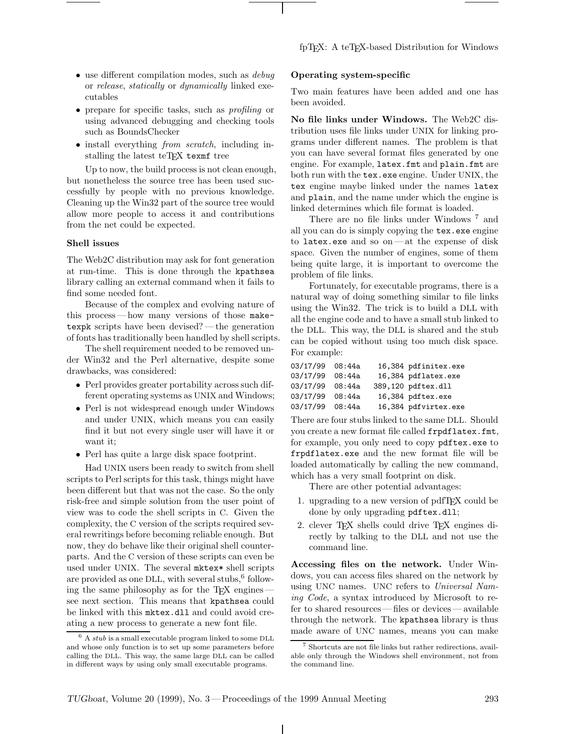- use different compilation modes, such as *debug* or *release*, *statically* or *dynamically* linked executables
- prepare for specific tasks, such as *profiling* or using advanced debugging and checking tools such as BoundsChecker
- install everything *from scratch*, including installing the latest teTFX texmf tree

Up to now, the build process is not clean enough, but nonetheless the source tree has been used successfully by people with no previous knowledge. Cleaning up the Win32 part of the source tree would allow more people to access it and contributions from the net could be expected.

## **Shell issues**

The Web2C distribution may ask for font generation at run-time. This is done through the kpathsea library calling an external command when it fails to find some needed font.

Because of the complex and evolving nature of this process— how many versions of those maketexpk scripts have been devised?— the generation of fonts has traditionally been handled by shell scripts.

The shell requirement needed to be removed under Win32 and the Perl alternative, despite some drawbacks, was considered:

- Perl provides greater portability across such different operating systems as UNIX and Windows;
- Perl is not widespread enough under Windows and under UNIX, which means you can easily find it but not every single user will have it or want it;
- Perl has quite a large disk space footprint.

Had UNIX users been ready to switch from shell scripts to Perl scripts for this task, things might have been different but that was not the case. So the only risk-free and simple solution from the user point of view was to code the shell scripts in C. Given the complexity, the C version of the scripts required several rewritings before becoming reliable enough. But now, they do behave like their original shell counterparts. And the C version of these scripts can even be used under UNIX. The several mktex\* shell scripts are provided as one DLL, with several stubs,<sup>6</sup> following the same philosophy as for the TEX engines see next section. This means that kpathsea could be linked with this mktex.dll and could avoid creating a new process to generate a new font file.

#### **Operating system-specific**

Two main features have been added and one has been avoided.

**No file links under Windows.** The Web2C distribution uses file links under UNIX for linking programs under different names. The problem is that you can have several format files generated by one engine. For example, latex.fmt and plain.fmt are both run with the **tex.exe** engine. Under UNIX, the tex engine maybe linked under the names latex and plain, and the name under which the engine is linked determines which file format is loaded.

There are no file links under Windows<sup>7</sup> and all you can do is simply copying the tex.exe engine to latex.exe and so on— at the expense of disk space. Given the number of engines, some of them being quite large, it is important to overcome the problem of file links.

Fortunately, for executable programs, there is a natural way of doing something similar to file links using the Win32. The trick is to build a DLL with all the engine code and to have a small stub linked to the DLL. This way, the DLL is shared and the stub can be copied without using too much disk space. For example:

| 03/17/99 | 08:44a | 16,384 pdfinitex.exe |
|----------|--------|----------------------|
| 03/17/99 | 08:44a | 16,384 pdflatex.exe  |
| 03/17/99 | 08:44a | 389,120 pdftex.dll   |
| 03/17/99 | 08:44a | 16,384 pdftex.exe    |
| 03/17/99 | 08:44a | 16,384 pdfvirtex.exe |

There are four stubs linked to the same DLL. Should you create a new format file called frpdflatex.fmt, for example, you only need to copy pdftex.exe to frpdflatex.exe and the new format file will be loaded automatically by calling the new command, which has a very small footprint on disk.

There are other potential advantages:

- 1. upgrading to a new version of pdfTEX could be done by only upgrading pdftex.dll;
- 2. clever TEX shells could drive TEX engines directly by talking to the DLL and not use the command line.

**Accessing files on the network.** Under Windows, you can access files shared on the network by using UNC names. UNC refers to *Universal Naming Code*, a syntax introduced by Microsoft to refer to shared resources— files or devices— available through the network. The kpathsea library is thus made aware of UNC names, means you can make

 $^6$  A  $\mathit{stub}$  is a small executable program linked to some DLL and whose only function is to set up some parameters before calling the DLL. This way, the same large DLL can be called in different ways by using only small executable programs.

<sup>7</sup> Shortcuts are not file links but rather redirections, available only through the Windows shell environment, not from the command line.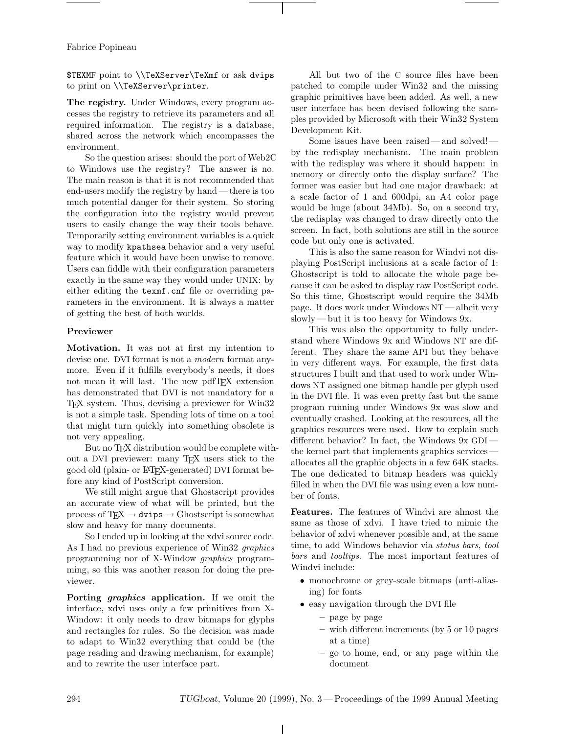Fabrice Popineau

\$TEXMF point to \\TeXServer\TeXmf or ask dvips to print on \\TeXServer\printer.

**The registry.** Under Windows, every program accesses the registry to retrieve its parameters and all required information. The registry is a database, shared across the network which encompasses the environment.

So the question arises: should the port of Web2C to Windows use the registry? The answer is no. The main reason is that it is not recommended that end-users modify the registry by hand — there is too much potential danger for their system. So storing the configuration into the registry would prevent users to easily change the way their tools behave. Temporarily setting environment variables is a quick way to modify kpathsea behavior and a very useful feature which it would have been unwise to remove. Users can fiddle with their configuration parameters exactly in the same way they would under UNIX: by either editing the texmf.cnf file or overriding parameters in the environment. It is always a matter of getting the best of both worlds.

# **Previewer**

**Motivation.** It was not at first my intention to devise one. DVI format is not a *modern* format anymore. Even if it fulfills everybody's needs, it does not mean it will last. The new pdfTEX extension has demonstrated that DVI is not mandatory for a TEX system. Thus, devising a previewer for Win32 is not a simple task. Spending lots of time on a tool that might turn quickly into something obsolete is not very appealing.

But no TEX distribution would be complete without a DVI previewer: many TEX users stick to the good old (plain- or LATEX-generated) DVI format before any kind of PostScript conversion.

We still might argue that Ghostscript provides an accurate view of what will be printed, but the process of  $TEX \to \text{divips} \to \text{Ghostscript}$  is somewhat slow and heavy for many documents.

So I ended up in looking at the xdvi source code. As I had no previous experience of Win32 *graphics* programming nor of X-Window *graphics* programming, so this was another reason for doing the previewer.

**Porting** *graphics* **application.** If we omit the interface, xdvi uses only a few primitives from X-Window: it only needs to draw bitmaps for glyphs and rectangles for rules. So the decision was made to adapt to Win32 everything that could be (the page reading and drawing mechanism, for example) and to rewrite the user interface part.

All but two of the C source files have been patched to compile under Win32 and the missing graphic primitives have been added. As well, a new user interface has been devised following the samples provided by Microsoft with their Win32 System Development Kit.

Some issues have been raised— and solved! by the redisplay mechanism. The main problem with the redisplay was where it should happen: in memory or directly onto the display surface? The former was easier but had one major drawback: at a scale factor of 1 and 600dpi, an A4 color page would be huge (about 34Mb). So, on a second try, the redisplay was changed to draw directly onto the screen. In fact, both solutions are still in the source code but only one is activated.

This is also the same reason for Windvi not displaying PostScript inclusions at a scale factor of 1: Ghostscript is told to allocate the whole page because it can be asked to display raw PostScript code. So this time, Ghostscript would require the 34Mb page. It does work under Windows NT— albeit very slowly— but it is too heavy for Windows 9x.

This was also the opportunity to fully understand where Windows 9x and Windows NT are different. They share the same API but they behave in very different ways. For example, the first data structures I built and that used to work under Windows NT assigned one bitmap handle per glyph used in the DVI file. It was even pretty fast but the same program running under Windows 9x was slow and eventually crashed. Looking at the resources, all the graphics resources were used. How to explain such different behavior? In fact, the Windows 9x GDI the kernel part that implements graphics services allocates all the graphic objects in a few 64K stacks. The one dedicated to bitmap headers was quickly filled in when the DVI file was using even a low number of fonts.

**Features.** The features of Windvi are almost the same as those of xdvi. I have tried to mimic the behavior of xdvi whenever possible and, at the same time, to add Windows behavior via *status bars*, *tool bars* and *tooltips*. The most important features of Windvi include:

- monochrome or grey-scale bitmaps (anti-aliasing) for fonts
- easy navigation through the DVI file
	- **–** page by page
	- **–** with different increments (by 5 or 10 pages at a time)
	- **–** go to home, end, or any page within the document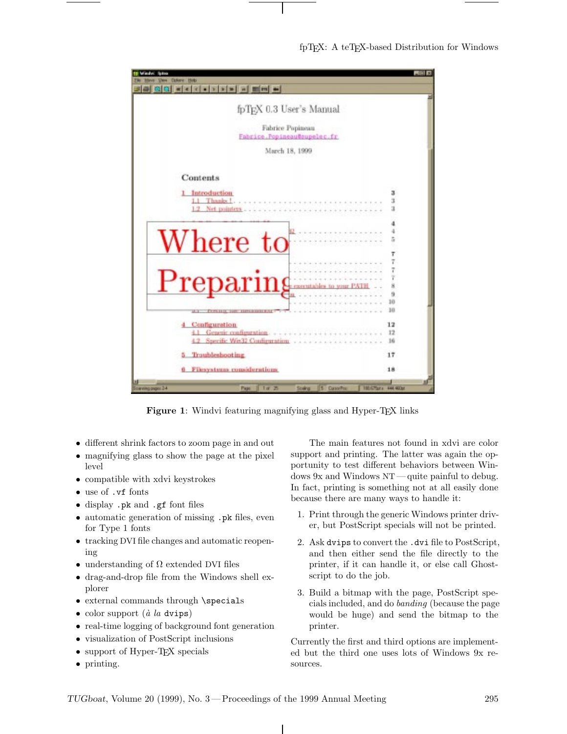

**Figure 1**: Windvi featuring magnifying glass and Hyper-T<sub>E</sub>X links

- different shrink factors to zoom page in and out
- magnifying glass to show the page at the pixel level
- compatible with xdvi keystrokes
- use of .vf fonts
- display .pk and .gf font files
- automatic generation of missing .pk files, even for Type 1 fonts
- tracking DVI file changes and automatic reopening
- understanding of  $\Omega$  extended DVI files
- drag-and-drop file from the Windows shell explorer
- external commands through \specials
- color support (*à la* dvips)
- real-time logging of background font generation
- visualization of PostScript inclusions
- support of Hyper-T<sub>E</sub>X specials
- printing.

The main features not found in xdvi are color support and printing. The latter was again the opportunity to test different behaviors between Windows 9x and Windows NT— quite painful to debug. In fact, printing is something not at all easily done because there are many ways to handle it:

- 1. Print through the generic Windows printer driver, but PostScript specials will not be printed.
- 2. Ask dvips to convert the .dvi file to PostScript, and then either send the file directly to the printer, if it can handle it, or else call Ghostscript to do the job.
- 3. Build a bitmap with the page, PostScript specials included, and do *banding* (because the page would be huge) and send the bitmap to the printer.

Currently the first and third options are implemented but the third one uses lots of Windows 9x resources.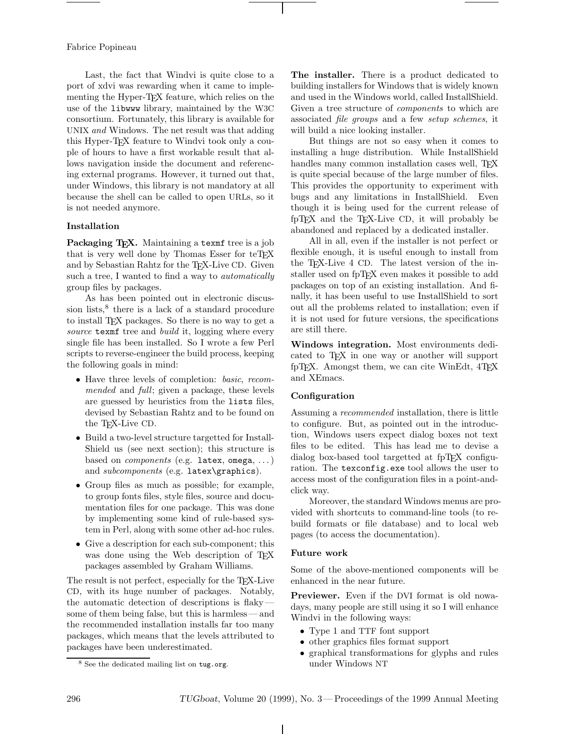## Fabrice Popineau

Last, the fact that Windvi is quite close to a port of xdvi was rewarding when it came to implementing the Hyper-T<sub>E</sub>X feature, which relies on the use of the libwww library, maintained by the W3C consortium. Fortunately, this library is available for UNIX *and* Windows. The net result was that adding this Hyper-TEX feature to Windvi took only a couple of hours to have a first workable result that allows navigation inside the document and referencing external programs. However, it turned out that, under Windows, this library is not mandatory at all because the shell can be called to open URLs, so it is not needed anymore.

## **Installation**

Packaging TEX. Maintaining a texmf tree is a job that is very well done by Thomas Esser for teT<sub>E</sub>X and by Sebastian Rahtz for the TEX-Live CD. Given such a tree, I wanted to find a way to *automatically* group files by packages.

As has been pointed out in electronic discussion lists, $\delta$  there is a lack of a standard procedure to install T<sub>EX</sub> packages. So there is no way to get a *source* texmf tree and *build* it, logging where every single file has been installed. So I wrote a few Perl scripts to reverse-engineer the build process, keeping the following goals in mind:

- Have three levels of completion: *basic*, *recommended* and *full*; given a package, these levels are guessed by heuristics from the lists files, devised by Sebastian Rahtz and to be found on the TEX-Live CD.
- Build a two-level structure targetted for Install-Shield us (see next section); this structure is based on *components* (e.g. latex, omega, ...) and *subcomponents* (e.g. latex\graphics).
- Group files as much as possible; for example, to group fonts files, style files, source and documentation files for one package. This was done by implementing some kind of rule-based system in Perl, along with some other ad-hoc rules.
- Give a description for each sub-component; this was done using the Web description of T<sub>EX</sub> packages assembled by Graham Williams.

The result is not perfect, especially for the TEX-Live CD, with its huge number of packages. Notably, the automatic detection of descriptions is flaky some of them being false, but this is harmless— and the recommended installation installs far too many packages, which means that the levels attributed to packages have been underestimated.

But things are not so easy when it comes to installing a huge distribution. While InstallShield handles many common installation cases well, T<sub>E</sub>X is quite special because of the large number of files. This provides the opportunity to experiment with bugs and any limitations in InstallShield. Even though it is being used for the current release of fpTEX and the TEX-Live CD, it will probably be abandoned and replaced by a dedicated installer.

All in all, even if the installer is not perfect or flexible enough, it is useful enough to install from the T<sub>E</sub>X-Live 4 CD. The latest version of the installer used on fpTEX even makes it possible to add packages on top of an existing installation. And finally, it has been useful to use InstallShield to sort out all the problems related to installation; even if it is not used for future versions, the specifications are still there.

**Windows integration.** Most environments dedicated to T<sub>E</sub>X in one way or another will support fpTEX. Amongst them, we can cite WinEdt, 4TEX and XEmacs.

# **Configuration**

Assuming a *recommended* installation, there is little to configure. But, as pointed out in the introduction, Windows users expect dialog boxes not text files to be edited. This has lead me to devise a dialog box-based tool targetted at fpTFX configuration. The texconfig.exe tool allows the user to access most of the configuration files in a point-andclick way.

Moreover, the standard Windows menus are provided with shortcuts to command-line tools (to rebuild formats or file database) and to local web pages (to access the documentation).

#### **Future work**

Some of the above-mentioned components will be enhanced in the near future.

**Previewer.** Even if the DVI format is old nowadays, many people are still using it so I will enhance Windvi in the following ways:

- Type 1 and TTF font support
- other graphics files format support
- graphical transformations for glyphs and rules under Windows NT

**The installer.** There is a product dedicated to building installers for Windows that is widely known and used in the Windows world, called InstallShield. Given a tree structure of *components* to which are associated *file groups* and a few *setup schemes*, it will build a nice looking installer.

<sup>8</sup> See the dedicated mailing list on tug.org.